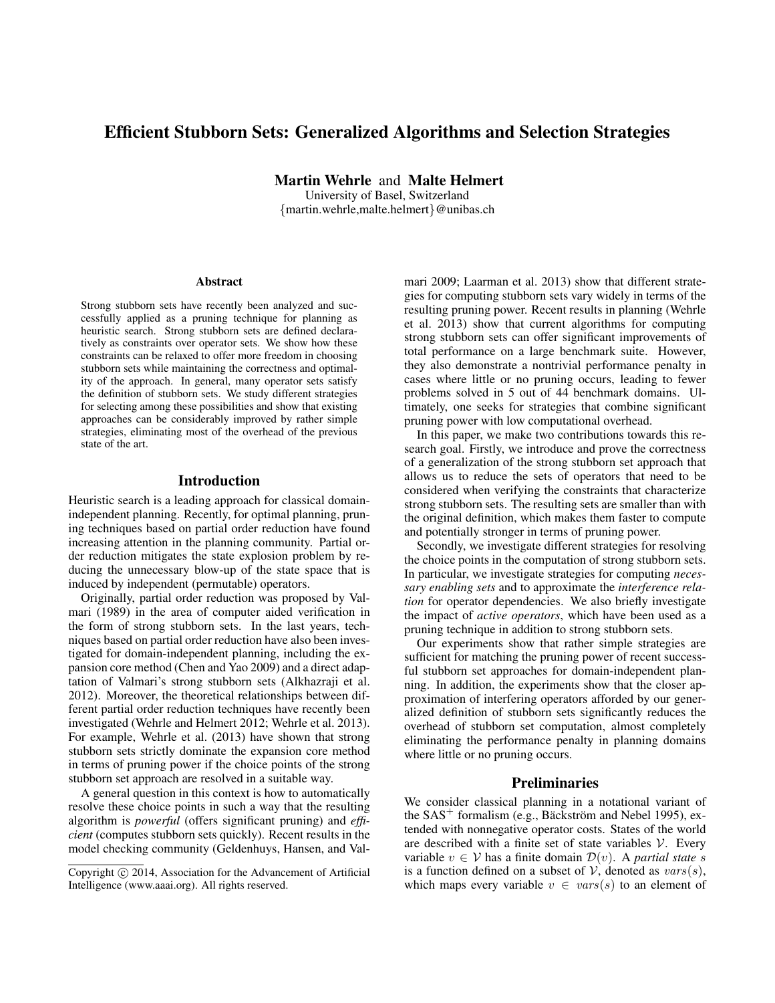# **Efficient Stubborn Sets: Generalized Algorithms and Selection Strategies**

**Martin Wehrle** and **Malte Helmert**

University of Basel, Switzerland {martin.wehrle,malte.helmert}@unibas.ch

#### **Abstract**

Strong stubborn sets have recently been analyzed and successfully applied as a pruning technique for planning as heuristic search. Strong stubborn sets are defined declaratively as constraints over operator sets. We show how these constraints can be relaxed to offer more freedom in choosing stubborn sets while maintaining the correctness and optimality of the approach. In general, many operator sets satisfy the definition of stubborn sets. We study different strategies for selecting among these possibilities and show that existing approaches can be considerably improved by rather simple strategies, eliminating most of the overhead of the previous state of the art.

## **Introduction**

Heuristic search is a leading approach for classical domainindependent planning. Recently, for optimal planning, pruning techniques based on partial order reduction have found increasing attention in the planning community. Partial order reduction mitigates the state explosion problem by reducing the unnecessary blow-up of the state space that is induced by independent (permutable) operators.

Originally, partial order reduction was proposed by Valmari (1989) in the area of computer aided verification in the form of strong stubborn sets. In the last years, techniques based on partial order reduction have also been investigated for domain-independent planning, including the expansion core method (Chen and Yao 2009) and a direct adaptation of Valmari's strong stubborn sets (Alkhazraji et al. 2012). Moreover, the theoretical relationships between different partial order reduction techniques have recently been investigated (Wehrle and Helmert 2012; Wehrle et al. 2013). For example, Wehrle et al. (2013) have shown that strong stubborn sets strictly dominate the expansion core method in terms of pruning power if the choice points of the strong stubborn set approach are resolved in a suitable way.

A general question in this context is how to automatically resolve these choice points in such a way that the resulting algorithm is *powerful* (offers significant pruning) and *efficient* (computes stubborn sets quickly). Recent results in the model checking community (Geldenhuys, Hansen, and Valmari 2009; Laarman et al. 2013) show that different strategies for computing stubborn sets vary widely in terms of the resulting pruning power. Recent results in planning (Wehrle et al. 2013) show that current algorithms for computing strong stubborn sets can offer significant improvements of total performance on a large benchmark suite. However, they also demonstrate a nontrivial performance penalty in cases where little or no pruning occurs, leading to fewer problems solved in 5 out of 44 benchmark domains. Ultimately, one seeks for strategies that combine significant pruning power with low computational overhead.

In this paper, we make two contributions towards this research goal. Firstly, we introduce and prove the correctness of a generalization of the strong stubborn set approach that allows us to reduce the sets of operators that need to be considered when verifying the constraints that characterize strong stubborn sets. The resulting sets are smaller than with the original definition, which makes them faster to compute and potentially stronger in terms of pruning power.

Secondly, we investigate different strategies for resolving the choice points in the computation of strong stubborn sets. In particular, we investigate strategies for computing *necessary enabling sets* and to approximate the *interference relation* for operator dependencies. We also briefly investigate the impact of *active operators*, which have been used as a pruning technique in addition to strong stubborn sets.

Our experiments show that rather simple strategies are sufficient for matching the pruning power of recent successful stubborn set approaches for domain-independent planning. In addition, the experiments show that the closer approximation of interfering operators afforded by our generalized definition of stubborn sets significantly reduces the overhead of stubborn set computation, almost completely eliminating the performance penalty in planning domains where little or no pruning occurs.

## **Preliminaries**

We consider classical planning in a notational variant of the  $SAS^+$  formalism (e.g., Bäckström and Nebel 1995), extended with nonnegative operator costs. States of the world are described with a finite set of state variables  $V$ . Every variable  $v \in V$  has a finite domain  $\mathcal{D}(v)$ . A *partial state* s is a function defined on a subset of  $V$ , denoted as  $vars(s)$ , which maps every variable  $v \in vars(s)$  to an element of

Copyright  $\odot$  2014, Association for the Advancement of Artificial Intelligence (www.aaai.org). All rights reserved.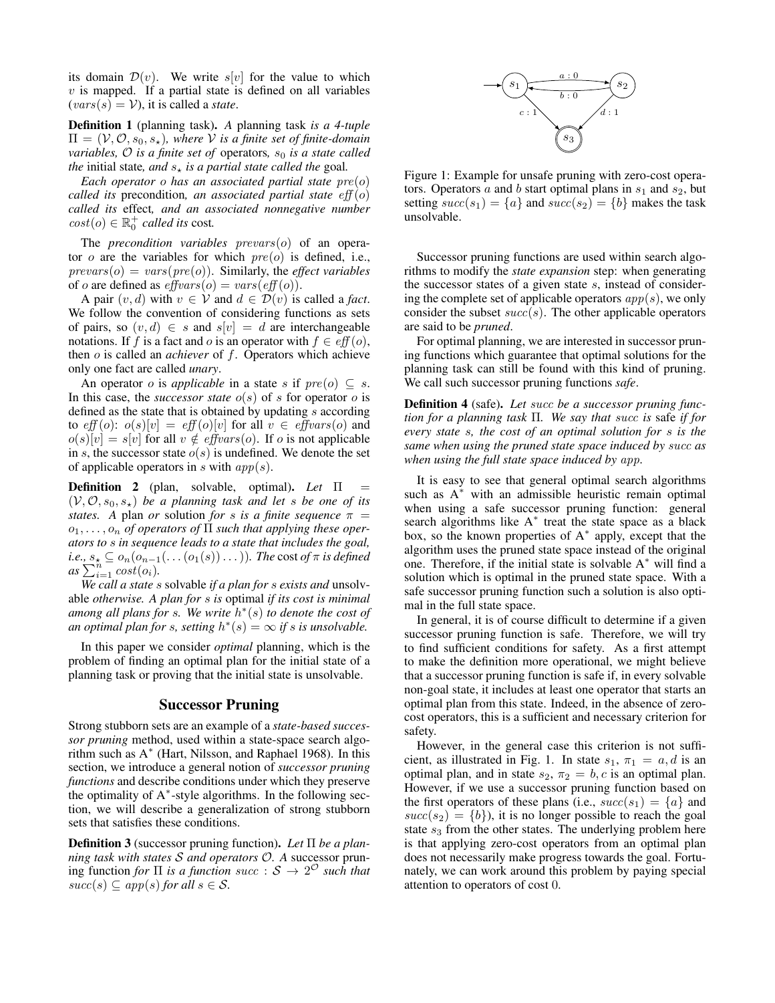its domain  $\mathcal{D}(v)$ . We write s[v] for the value to which  $v$  is mapped. If a partial state is defined on all variables  $(vars(s) = V)$ , it is called a *state*.

**Definition 1** (planning task)**.** *A* planning task *is a 4-tuple*  $\Pi = (\mathcal{V}, \mathcal{O}, s_0, s_\star)$ *, where*  $\mathcal V$  *is a finite set of finite-domain variables,*  $\mathcal O$  *is a finite set of* operators,  $s_0$  *is a state called the* initial state, and  $s<sub>*</sub>$  *is a partial state called the* goal.

*Each operator* o *has an associated partial state* pre(o) *called its* precondition*, an associated partial state* eff (o) *called its* effect*, and an associated nonnegative number*  $cost(o) \in \mathbb{R}^+_0$  *called its* cost.

The *precondition variables* prevars(o) of an operator  $o$  are the variables for which  $pre(o)$  is defined, i.e.,  $prevars(o) = vars(re(o))$ . Similarly, the *effect variables* of *o* are defined as  $\text{effvars}(o) = \text{vars}(\text{eff}(o)).$ 

A pair  $(v, d)$  with  $v \in V$  and  $d \in \mathcal{D}(v)$  is called a *fact*. We follow the convention of considering functions as sets of pairs, so  $(v, d) \in s$  and  $s[v] = d$  are interchangeable notations. If f is a fact and o is an operator with  $f \in eff(o)$ , then o is called an *achiever* of f. Operators which achieve only one fact are called *unary*.

An operator *o* is *applicable* in a state *s* if  $pre(o) \subseteq s$ . In this case, the *successor state*  $o(s)$  of s for operator o is defined as the state that is obtained by updating  $s$  according to  $eff(o): o(s)[v] = eff(o)[v]$  for all  $v \in effvars(o)$  and  $o(s)[v] = s[v]$  for all  $v \notin \text{effvars}(o)$ . If o is not applicable in s, the successor state  $o(s)$  is undefined. We denote the set of applicable operators in s with  $app(s)$ .

**Definition 2** (plan, solvable, optimal)**.** *Let* Π =  $(V, O, s_0, s_*)$  *be a planning task and let s be one of its states.* A plan *or* solution *for s is a finite sequence*  $\pi$  = o1, . . . , o<sup>n</sup> *of operators of* Π *such that applying these operators to* s *in sequence leads to a state that includes the goal,*  $i.e., s_\star \subseteq o_n(o_{n-1}(\dots(o_1(s))\dots)).$  The  $\cos of \pi$  is defined  $as \sum_{i=1}^{n} cost(o_i)$ .

*We call a state* s solvable *if a plan for* s *exists and* unsolvable *otherwise. A plan for* s *is* optimal *if its cost is minimal among all plans for* s*. We write* h ∗ (s) *to denote the cost of an optimal plan for s, setting*  $h^*(s) = \infty$  *if s is unsolvable.* 

In this paper we consider *optimal* planning, which is the problem of finding an optimal plan for the initial state of a planning task or proving that the initial state is unsolvable.

#### **Successor Pruning**

Strong stubborn sets are an example of a *state-based successor pruning* method, used within a state-space search algorithm such as A<sup>∗</sup> (Hart, Nilsson, and Raphael 1968). In this section, we introduce a general notion of *successor pruning functions* and describe conditions under which they preserve the optimality of A<sup>∗</sup> -style algorithms. In the following section, we will describe a generalization of strong stubborn sets that satisfies these conditions.

**Definition 3** (successor pruning function)**.** *Let* Π *be a planning task with states* S *and operators* O*. A* successor pruning function *for*  $\Pi$  *is a function succ* :  $S \rightarrow 2^{\circ}$  *such that*  $succ(s) \subseteq app(s)$  *for all*  $s \in S$ .



Figure 1: Example for unsafe pruning with zero-cost operators. Operators a and b start optimal plans in  $s_1$  and  $s_2$ , but setting  $succ(s_1) = \{a\}$  and  $succ(s_2) = \{b\}$  makes the task unsolvable.

Successor pruning functions are used within search algorithms to modify the *state expansion* step: when generating the successor states of a given state  $s$ , instead of considering the complete set of applicable operators  $app(s)$ , we only consider the subset  $succ(s)$ . The other applicable operators are said to be *pruned*.

For optimal planning, we are interested in successor pruning functions which guarantee that optimal solutions for the planning task can still be found with this kind of pruning. We call such successor pruning functions *safe*.

**Definition 4** (safe)**.** *Let* succ *be a successor pruning function for a planning task* Π*. We say that* succ *is* safe *if for every state* s*, the cost of an optimal solution for* s *is the same when using the pruned state space induced by* succ *as when using the full state space induced by* app*.*

It is easy to see that general optimal search algorithms such as  $A^*$  with an admissible heuristic remain optimal when using a safe successor pruning function: general search algorithms like A<sup>\*</sup> treat the state space as a black box, so the known properties of A<sup>∗</sup> apply, except that the algorithm uses the pruned state space instead of the original one. Therefore, if the initial state is solvable  $A^*$  will find a solution which is optimal in the pruned state space. With a safe successor pruning function such a solution is also optimal in the full state space.

In general, it is of course difficult to determine if a given successor pruning function is safe. Therefore, we will try to find sufficient conditions for safety. As a first attempt to make the definition more operational, we might believe that a successor pruning function is safe if, in every solvable non-goal state, it includes at least one operator that starts an optimal plan from this state. Indeed, in the absence of zerocost operators, this is a sufficient and necessary criterion for safety.

However, in the general case this criterion is not sufficient, as illustrated in Fig. 1. In state  $s_1$ ,  $\pi_1 = a$ , d is an optimal plan, and in state  $s_2$ ,  $\pi_2 = b$ , c is an optimal plan. However, if we use a successor pruning function based on the first operators of these plans (i.e.,  $succ(s_1) = \{a\}$  and  $succ(s_2) = \{b\}$ , it is no longer possible to reach the goal state  $s_3$  from the other states. The underlying problem here is that applying zero-cost operators from an optimal plan does not necessarily make progress towards the goal. Fortunately, we can work around this problem by paying special attention to operators of cost 0.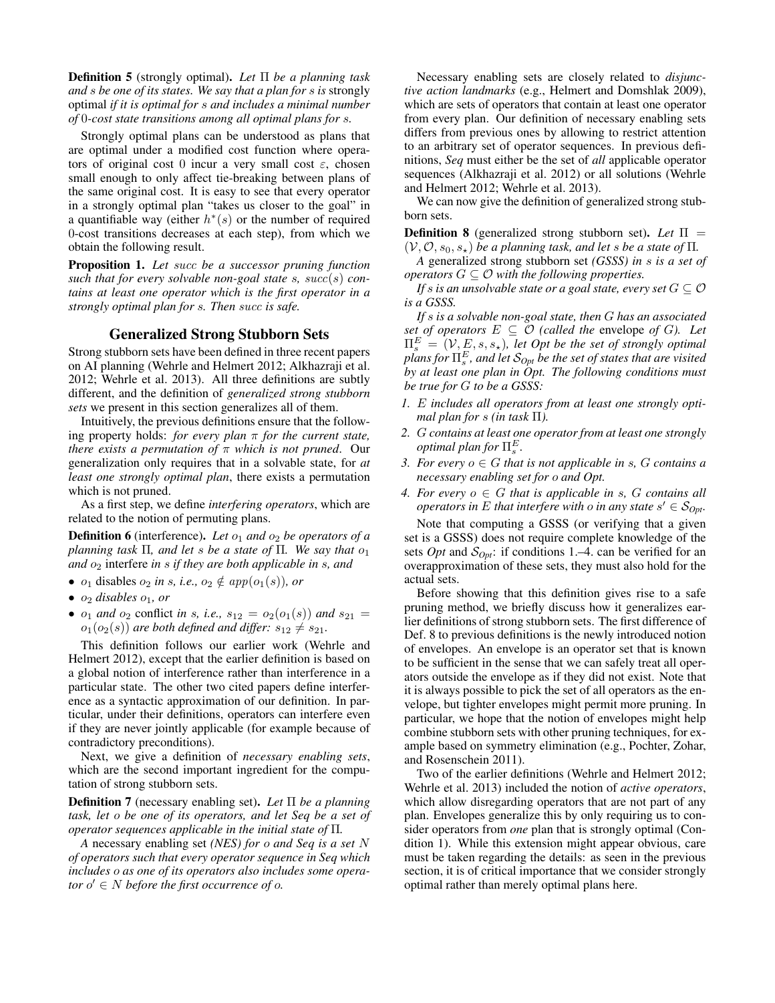**Definition 5** (strongly optimal)**.** *Let* Π *be a planning task and* s *be one of its states. We say that a plan for* s *is* strongly optimal *if it is optimal for* s *and includes a minimal number of* 0*-cost state transitions among all optimal plans for* s*.*

Strongly optimal plans can be understood as plans that are optimal under a modified cost function where operators of original cost 0 incur a very small cost  $\varepsilon$ , chosen small enough to only affect tie-breaking between plans of the same original cost. It is easy to see that every operator in a strongly optimal plan "takes us closer to the goal" in a quantifiable way (either  $h^*(s)$  or the number of required 0-cost transitions decreases at each step), from which we obtain the following result.

**Proposition 1.** *Let* succ *be a successor pruning function such that for every solvable non-goal state* s*,* succ(s) *contains at least one operator which is the first operator in a strongly optimal plan for* s*. Then* succ *is safe.*

## **Generalized Strong Stubborn Sets**

Strong stubborn sets have been defined in three recent papers on AI planning (Wehrle and Helmert 2012; Alkhazraji et al. 2012; Wehrle et al. 2013). All three definitions are subtly different, and the definition of *generalized strong stubborn sets* we present in this section generalizes all of them.

Intuitively, the previous definitions ensure that the following property holds: *for every plan* π *for the current state, there exists a permutation of* π *which is not pruned*. Our generalization only requires that in a solvable state, for *at least one strongly optimal plan*, there exists a permutation which is not pruned.

As a first step, we define *interfering operators*, which are related to the notion of permuting plans.

**Definition 6** (interference). Let  $o_1$  and  $o_2$  be operators of a *planning task*  $\Pi$ *, and let s be a state of*  $\Pi$ *. We say that*  $o_1$ *and*  $o_2$  interfere *in s if they are both applicable in s, and* 

- $o_1$  disables  $o_2$  *in s, i.e.,*  $o_2 \notin app(o_1(s))$ *, or*
- $\bullet$   $o_2$  *disables*  $o_1$ *, or*
- $o_1$  *and*  $o_2$  conflict *in s, i.e.,*  $s_{12} = o_2(o_1(s))$  *and*  $s_{21} = o_2(o_1(s))$  $o_1(o_2(s))$  *are both defined and differ:*  $s_{12} \neq s_{21}$ *.*

This definition follows our earlier work (Wehrle and Helmert 2012), except that the earlier definition is based on a global notion of interference rather than interference in a particular state. The other two cited papers define interference as a syntactic approximation of our definition. In particular, under their definitions, operators can interfere even if they are never jointly applicable (for example because of contradictory preconditions).

Next, we give a definition of *necessary enabling sets*, which are the second important ingredient for the computation of strong stubborn sets.

**Definition 7** (necessary enabling set)**.** *Let* Π *be a planning task, let* o *be one of its operators, and let Seq be a set of operator sequences applicable in the initial state of* Π*.*

*A* necessary enabling set *(NES) for* o *and Seq is a set* N *of operators such that every operator sequence in Seq which includes* o *as one of its operators also includes some operator* o ′ ∈ N *before the first occurrence of* o*.*

Necessary enabling sets are closely related to *disjunctive action landmarks* (e.g., Helmert and Domshlak 2009), which are sets of operators that contain at least one operator from every plan. Our definition of necessary enabling sets differs from previous ones by allowing to restrict attention to an arbitrary set of operator sequences. In previous definitions, *Seq* must either be the set of *all* applicable operator sequences (Alkhazraji et al. 2012) or all solutions (Wehrle and Helmert 2012; Wehrle et al. 2013).

We can now give the definition of generalized strong stubborn sets.

**Definition 8** (generalized strong stubborn set). Let  $\Pi$  =  $(V, \mathcal{O}, s_0, s_*)$  *be a planning task, and let s be a state of*  $\Pi$ .

*A* generalized strong stubborn set *(GSSS) in* s *is a set of operators*  $G \subseteq \mathcal{O}$  *with the following properties.* 

*If* s is an unsolvable state or a goal state, every set  $G \subseteq \mathcal{O}$ *is a GSSS.*

*If* s *is a solvable non-goal state, then* G *has an associated set of operators*  $E \subseteq \mathcal{O}$  *(called the envelope of G). Let*  $\Pi_s^E = (V, E, s, s_\star)$ , let Opt be the set of strongly optimal  $p$ lans for  $\Pi_s^E$ , and let  $\mathcal{S}_{Opt}$  be the set of states that are visited *by at least one plan in Opt. The following conditions must be true for* G *to be a GSSS:*

- *1.* E *includes all operators from at least one strongly optimal plan for s (in task*  $\Pi$ ).
- *2.* G *contains at least one operator from at least one strongly*  $\mathit{optimal}$  plan for  $\Pi^E_s.$
- *3. For every*  $o \in G$  *that is not applicable in s, G contains a necessary enabling set for* o *and Opt.*
- *4. For every*  $o \in G$  *that is applicable in s, G contains all operators in* E that interfere with *o* in any state  $s' \in \mathcal{S}_{Opt}$ .

Note that computing a GSSS (or verifying that a given set is a GSSS) does not require complete knowledge of the sets *Opt* and  $S_{0pt}$ : if conditions 1.–4. can be verified for an overapproximation of these sets, they must also hold for the actual sets.

Before showing that this definition gives rise to a safe pruning method, we briefly discuss how it generalizes earlier definitions of strong stubborn sets. The first difference of Def. 8 to previous definitions is the newly introduced notion of envelopes. An envelope is an operator set that is known to be sufficient in the sense that we can safely treat all operators outside the envelope as if they did not exist. Note that it is always possible to pick the set of all operators as the envelope, but tighter envelopes might permit more pruning. In particular, we hope that the notion of envelopes might help combine stubborn sets with other pruning techniques, for example based on symmetry elimination (e.g., Pochter, Zohar, and Rosenschein 2011).

Two of the earlier definitions (Wehrle and Helmert 2012; Wehrle et al. 2013) included the notion of *active operators*, which allow disregarding operators that are not part of any plan. Envelopes generalize this by only requiring us to consider operators from *one* plan that is strongly optimal (Condition 1). While this extension might appear obvious, care must be taken regarding the details: as seen in the previous section, it is of critical importance that we consider strongly optimal rather than merely optimal plans here.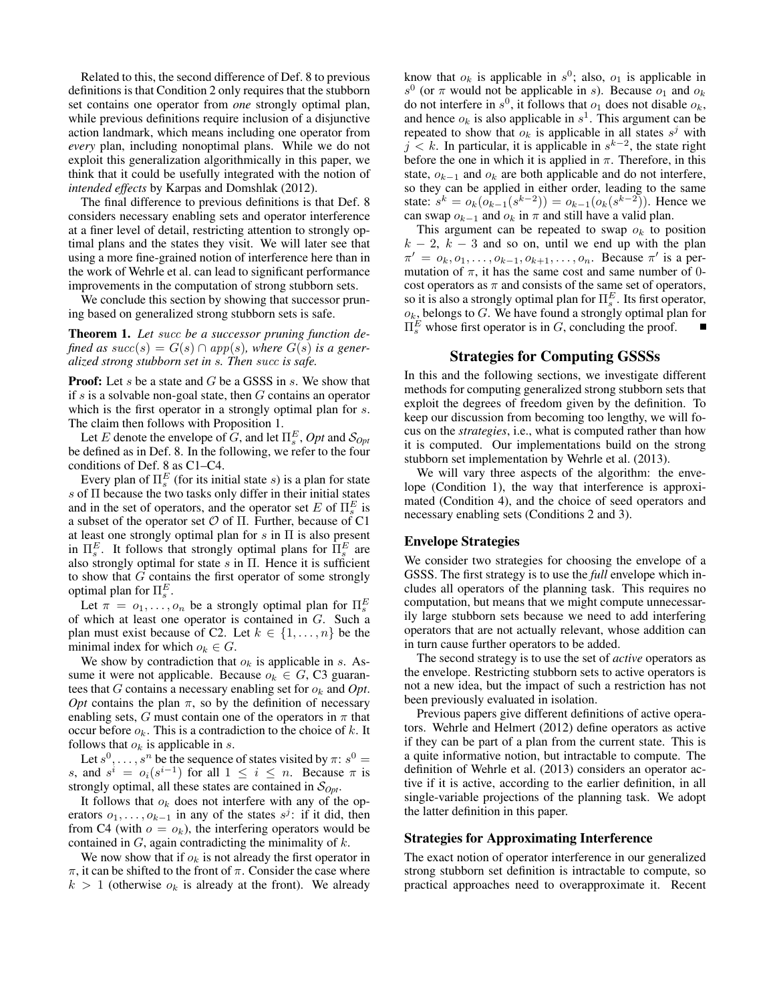Related to this, the second difference of Def. 8 to previous definitions is that Condition 2 only requires that the stubborn set contains one operator from *one* strongly optimal plan, while previous definitions require inclusion of a disjunctive action landmark, which means including one operator from *every* plan, including nonoptimal plans. While we do not exploit this generalization algorithmically in this paper, we think that it could be usefully integrated with the notion of *intended effects* by Karpas and Domshlak (2012).

The final difference to previous definitions is that Def. 8 considers necessary enabling sets and operator interference at a finer level of detail, restricting attention to strongly optimal plans and the states they visit. We will later see that using a more fine-grained notion of interference here than in the work of Wehrle et al. can lead to significant performance improvements in the computation of strong stubborn sets.

We conclude this section by showing that successor pruning based on generalized strong stubborn sets is safe.

**Theorem 1.** *Let* succ *be a successor pruning function defined as succ*(s) =  $G(s) \cap app(s)$ , where  $G(s)$  *is a generalized strong stubborn set in* s*. Then* succ *is safe.*

**Proof:** Let s be a state and G be a GSSS in s. We show that if  $s$  is a solvable non-goal state, then  $G$  contains an operator which is the first operator in a strongly optimal plan for s. The claim then follows with Proposition 1.

Let E denote the envelope of G, and let  $\Pi_s^E$ , Opt and  $\mathcal{S}_{Opt}$ be defined as in Def. 8. In the following, we refer to the four conditions of Def. 8 as C1–C4.

Every plan of  $\Pi_s^E$  (for its initial state s) is a plan for state s of Π because the two tasks only differ in their initial states and in the set of operators, and the operator set  $E$  of  $\Pi_s^E$  is a subset of the operator set  $\mathcal O$  of  $\Pi$ . Further, because of C1 at least one strongly optimal plan for  $s$  in  $\Pi$  is also present in  $\Pi_s^E$ . It follows that strongly optimal plans for  $\Pi_s^E$  are also strongly optimal for state  $s$  in  $\Pi$ . Hence it is sufficient to show that  $G$  contains the first operator of some strongly optimal plan for  $\Pi_s^E$ .

Let  $\pi = o_1, \ldots, o_n$  be a strongly optimal plan for  $\Pi_s^E$ of which at least one operator is contained in G. Such a plan must exist because of C2. Let  $k \in \{1, \ldots, n\}$  be the minimal index for which  $o_k \in G$ .

We show by contradiction that  $o_k$  is applicable in s. Assume it were not applicable. Because  $o_k \in G$ , C3 guarantees that  $G$  contains a necessary enabling set for  $o_k$  and  $Opt$ . *Opt* contains the plan  $\pi$ , so by the definition of necessary enabling sets, G must contain one of the operators in  $\pi$  that occur before  $o_k$ . This is a contradiction to the choice of k. It follows that  $o_k$  is applicable in s.

Let  $s^0, \ldots, s^n$  be the sequence of states visited by  $\pi$ :  $s^0 =$ s, and  $s^i = o_i(s^{i-1})$  for all  $1 \le i \le n$ . Because  $\pi$  is strongly optimal, all these states are contained in S*Opt*.

It follows that  $o_k$  does not interfere with any of the operators  $o_1, \ldots, o_{k-1}$  in any of the states  $s^j$ : if it did, then from C4 (with  $o = o_k$ ), the interfering operators would be contained in  $G$ , again contradicting the minimality of  $k$ .

We now show that if  $o_k$  is not already the first operator in π, it can be shifted to the front of π. Consider the case where  $k > 1$  (otherwise  $o_k$  is already at the front). We already

know that  $o_k$  is applicable in  $s^0$ ; also,  $o_1$  is applicable in  $s^0$  (or  $\pi$  would not be applicable in s). Because  $o_1$  and  $o_k$ do not interfere in  $s^0$ , it follows that  $o_1$  does not disable  $o_k$ , and hence  $o_k$  is also applicable in  $s^1$ . This argument can be repeated to show that  $o_k$  is applicable in all states  $s^j$  with  $j < k$ . In particular, it is applicable in  $s^{k-2}$ , the state right before the one in which it is applied in  $\pi$ . Therefore, in this state,  $o_{k-1}$  and  $o_k$  are both applicable and do not interfere, so they can be applied in either order, leading to the same state:  $s^k = o_k(o_{k-1}(s^{k-2})) = o_{k-1}(o_k(s^{k-2})).$  Hence we can swap  $o_{k-1}$  and  $o_k$  in  $\pi$  and still have a valid plan.

This argument can be repeated to swap  $o_k$  to position  $k - 2$ ,  $k - 3$  and so on, until we end up with the plan  $\pi' = \overline{o_k, o_1, \ldots, o_{k-1}, o_{k+1}, \ldots, o_n}$ . Because  $\pi'$  is a permutation of  $\pi$ , it has the same cost and same number of 0cost operators as  $\pi$  and consists of the same set of operators, so it is also a strongly optimal plan for  $\Pi_s^E$ . Its first operator,  $o_k$ , belongs to G. We have found a strongly optimal plan for  $\Pi_s^E$  whose first operator is in G, concluding the proof.

#### **Strategies for Computing GSSSs**

In this and the following sections, we investigate different methods for computing generalized strong stubborn sets that exploit the degrees of freedom given by the definition. To keep our discussion from becoming too lengthy, we will focus on the *strategies*, i.e., what is computed rather than how it is computed. Our implementations build on the strong stubborn set implementation by Wehrle et al. (2013).

We will vary three aspects of the algorithm: the envelope (Condition 1), the way that interference is approximated (Condition 4), and the choice of seed operators and necessary enabling sets (Conditions 2 and 3).

# **Envelope Strategies**

We consider two strategies for choosing the envelope of a GSSS. The first strategy is to use the *full* envelope which includes all operators of the planning task. This requires no computation, but means that we might compute unnecessarily large stubborn sets because we need to add interfering operators that are not actually relevant, whose addition can in turn cause further operators to be added.

The second strategy is to use the set of *active* operators as the envelope. Restricting stubborn sets to active operators is not a new idea, but the impact of such a restriction has not been previously evaluated in isolation.

Previous papers give different definitions of active operators. Wehrle and Helmert (2012) define operators as active if they can be part of a plan from the current state. This is a quite informative notion, but intractable to compute. The definition of Wehrle et al. (2013) considers an operator active if it is active, according to the earlier definition, in all single-variable projections of the planning task. We adopt the latter definition in this paper.

#### **Strategies for Approximating Interference**

The exact notion of operator interference in our generalized strong stubborn set definition is intractable to compute, so practical approaches need to overapproximate it. Recent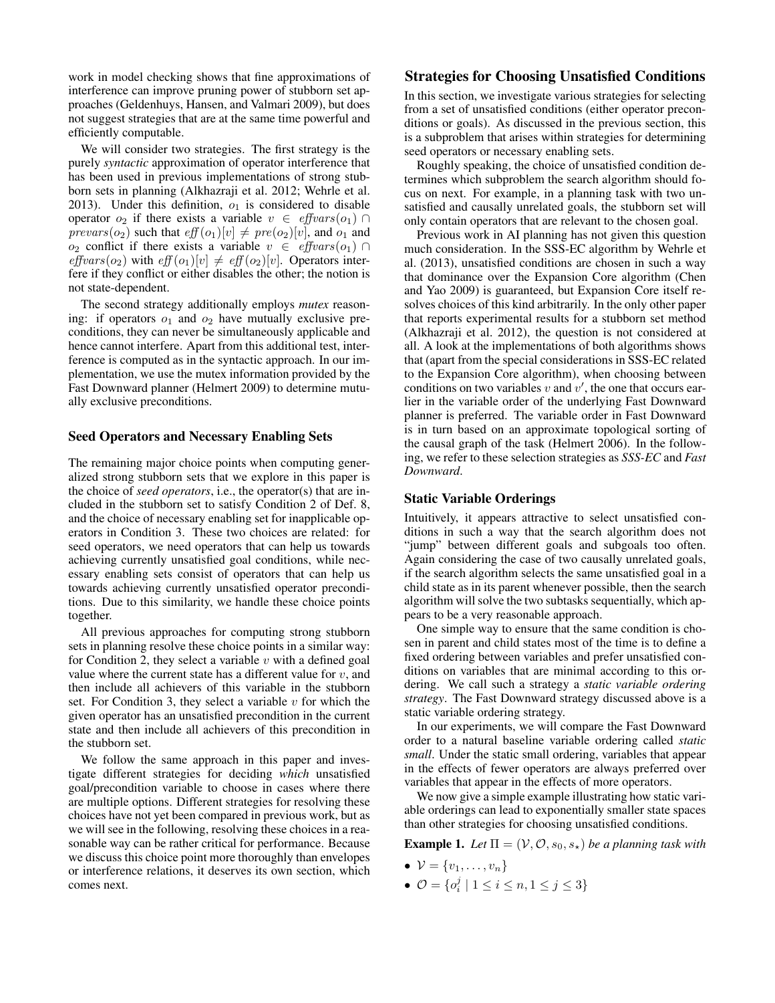work in model checking shows that fine approximations of interference can improve pruning power of stubborn set approaches (Geldenhuys, Hansen, and Valmari 2009), but does not suggest strategies that are at the same time powerful and efficiently computable.

We will consider two strategies. The first strategy is the purely *syntactic* approximation of operator interference that has been used in previous implementations of strong stubborn sets in planning (Alkhazraji et al. 2012; Wehrle et al. 2013). Under this definition,  $o_1$  is considered to disable operator  $o_2$  if there exists a variable  $v \in \text{effvars}(o_1) \cap$  $prevars(o_2)$  such that  $eff(o_1)[v] \neq pre(o_2)[v]$ , and  $o_1$  and  $o_2$  conflict if there exists a variable  $v \in \text{effvars}(o_1) \cap$ effvars( $o_2$ ) with eff  $(o_1)[v] \neq$  eff  $(o_2)[v]$ . Operators interfere if they conflict or either disables the other; the notion is not state-dependent.

The second strategy additionally employs *mutex* reasoning: if operators  $o_1$  and  $o_2$  have mutually exclusive preconditions, they can never be simultaneously applicable and hence cannot interfere. Apart from this additional test, interference is computed as in the syntactic approach. In our implementation, we use the mutex information provided by the Fast Downward planner (Helmert 2009) to determine mutually exclusive preconditions.

#### **Seed Operators and Necessary Enabling Sets**

The remaining major choice points when computing generalized strong stubborn sets that we explore in this paper is the choice of *seed operators*, i.e., the operator(s) that are included in the stubborn set to satisfy Condition 2 of Def. 8, and the choice of necessary enabling set for inapplicable operators in Condition 3. These two choices are related: for seed operators, we need operators that can help us towards achieving currently unsatisfied goal conditions, while necessary enabling sets consist of operators that can help us towards achieving currently unsatisfied operator preconditions. Due to this similarity, we handle these choice points together.

All previous approaches for computing strong stubborn sets in planning resolve these choice points in a similar way: for Condition 2, they select a variable  $v$  with a defined goal value where the current state has a different value for  $v$ , and then include all achievers of this variable in the stubborn set. For Condition 3, they select a variable  $v$  for which the given operator has an unsatisfied precondition in the current state and then include all achievers of this precondition in the stubborn set.

We follow the same approach in this paper and investigate different strategies for deciding *which* unsatisfied goal/precondition variable to choose in cases where there are multiple options. Different strategies for resolving these choices have not yet been compared in previous work, but as we will see in the following, resolving these choices in a reasonable way can be rather critical for performance. Because we discuss this choice point more thoroughly than envelopes or interference relations, it deserves its own section, which comes next.

## **Strategies for Choosing Unsatisfied Conditions**

In this section, we investigate various strategies for selecting from a set of unsatisfied conditions (either operator preconditions or goals). As discussed in the previous section, this is a subproblem that arises within strategies for determining seed operators or necessary enabling sets.

Roughly speaking, the choice of unsatisfied condition determines which subproblem the search algorithm should focus on next. For example, in a planning task with two unsatisfied and causally unrelated goals, the stubborn set will only contain operators that are relevant to the chosen goal.

Previous work in AI planning has not given this question much consideration. In the SSS-EC algorithm by Wehrle et al. (2013), unsatisfied conditions are chosen in such a way that dominance over the Expansion Core algorithm (Chen and Yao 2009) is guaranteed, but Expansion Core itself resolves choices of this kind arbitrarily. In the only other paper that reports experimental results for a stubborn set method (Alkhazraji et al. 2012), the question is not considered at all. A look at the implementations of both algorithms shows that (apart from the special considerations in SSS-EC related to the Expansion Core algorithm), when choosing between conditions on two variables v and  $v'$ , the one that occurs earlier in the variable order of the underlying Fast Downward planner is preferred. The variable order in Fast Downward is in turn based on an approximate topological sorting of the causal graph of the task (Helmert 2006). In the following, we refer to these selection strategies as *SSS-EC* and *Fast Downward*.

#### **Static Variable Orderings**

Intuitively, it appears attractive to select unsatisfied conditions in such a way that the search algorithm does not "jump" between different goals and subgoals too often. Again considering the case of two causally unrelated goals, if the search algorithm selects the same unsatisfied goal in a child state as in its parent whenever possible, then the search algorithm will solve the two subtasks sequentially, which appears to be a very reasonable approach.

One simple way to ensure that the same condition is chosen in parent and child states most of the time is to define a fixed ordering between variables and prefer unsatisfied conditions on variables that are minimal according to this ordering. We call such a strategy a *static variable ordering strategy*. The Fast Downward strategy discussed above is a static variable ordering strategy.

In our experiments, we will compare the Fast Downward order to a natural baseline variable ordering called *static small*. Under the static small ordering, variables that appear in the effects of fewer operators are always preferred over variables that appear in the effects of more operators.

We now give a simple example illustrating how static variable orderings can lead to exponentially smaller state spaces than other strategies for choosing unsatisfied conditions.

**Example 1.** *Let*  $\Pi = (\mathcal{V}, \mathcal{O}, s_0, s_*)$  *be a planning task with* 

- $\bullet \ \mathcal{V} = \{v_1, \ldots, v_n\}$
- $\mathcal{O} = \{o_i^j \mid 1 \le i \le n, 1 \le j \le 3\}$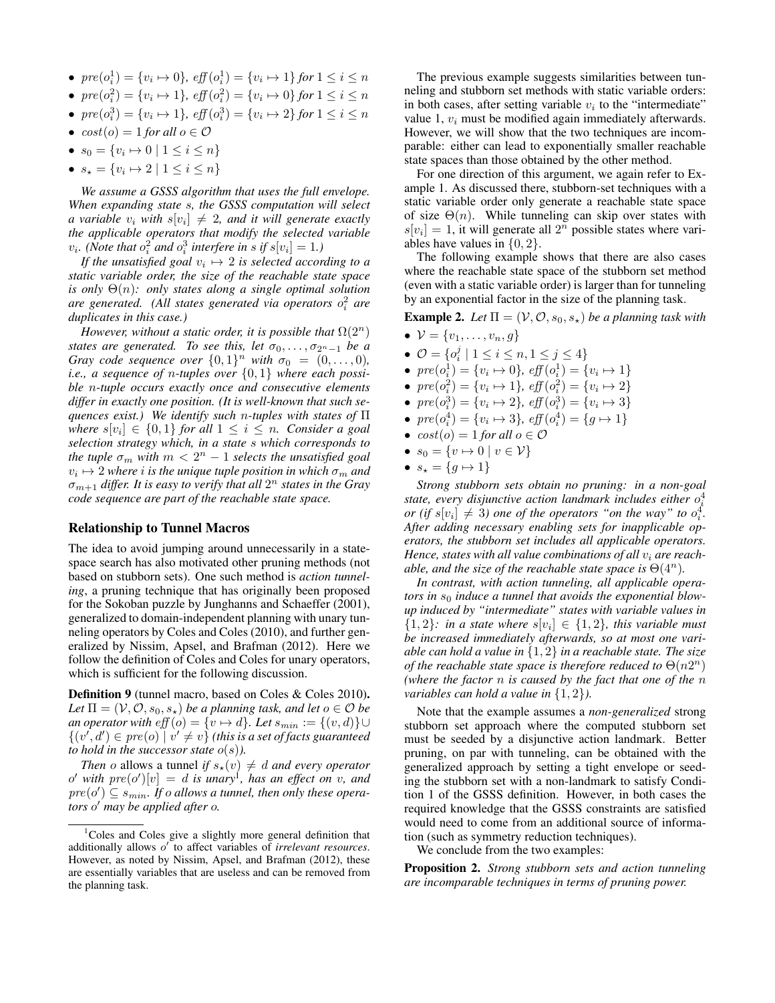- $pre(o_i^1) = \{v_i \mapsto 0\}$ ,  $eff(o_i^1) = \{v_i \mapsto 1\}$  for  $1 \le i \le n$
- $pre(o_i^2) = \{v_i \mapsto 1\}$ ,  $eff(o_i^2) = \{v_i \mapsto 0\}$  for  $1 \le i \le n$
- $pre(o_i^3) = \{v_i \mapsto 1\}$ ,  $eff(o_i^3) = \{v_i \mapsto 2\}$  for  $1 \le i \le n$
- $cost(o) = 1$  *for all*  $o \in \mathcal{O}$
- $s_0 = \{v_i \mapsto 0 \mid 1 \leq i \leq n\}$
- $s_\star = \{v_i \mapsto 2 \mid 1 \leq i \leq n\}$

*We assume a GSSS algorithm that uses the full envelope. When expanding state* s*, the GSSS computation will select a variable*  $v_i$  with  $s[v_i] \neq 2$ , and it will generate exactly *the applicable operators that modify the selected variable*  $v_i$ . (Note that  $o_i^2$  and  $o_i^3$  interfere in s if  $s[v_i] = 1$ .)

If the unsatisfied goal  $v_i \mapsto 2$  is selected according to a *static variable order, the size of the reachable state space is only* Θ(n)*: only states along a single optimal solution are generated. (All states generated via operators* o 2 i *are duplicates in this case.)*

*However, without a static order, it is possible that*  $\Omega(2^n)$ *states are generated. To see this, let*  $\sigma_0, \ldots, \sigma_{2^n-1}$  *be a Gray code sequence over*  $\{0,1\}^n$  *with*  $\sigma_0 = (0,\ldots,0)$ *, i.e., a sequence of* n*-tuples over* {0, 1} *where each possible* n*-tuple occurs exactly once and consecutive elements differ in exactly one position. (It is well-known that such sequences exist.) We identify such* n*-tuples with states of* Π  $where \ s[v_i] \in \{0,1\} \text{ for all } 1 \leq i \leq n.$  Consider a goal *selection strategy which, in a state* s *which corresponds to the tuple*  $\sigma_m$  with  $m < 2^n - 1$  *selects the unsatisfied goal*  $v_i \mapsto 2$  where  $i$  is the unique tuple position in which  $\sigma_m$  and σm+1 *differ. It is easy to verify that all* 2 <sup>n</sup> *states in the Gray code sequence are part of the reachable state space.*

#### **Relationship to Tunnel Macros**

The idea to avoid jumping around unnecessarily in a statespace search has also motivated other pruning methods (not based on stubborn sets). One such method is *action tunneling*, a pruning technique that has originally been proposed for the Sokoban puzzle by Junghanns and Schaeffer (2001), generalized to domain-independent planning with unary tunneling operators by Coles and Coles (2010), and further generalized by Nissim, Apsel, and Brafman (2012). Here we follow the definition of Coles and Coles for unary operators, which is sufficient for the following discussion.

**Definition 9** (tunnel macro, based on Coles & Coles 2010)**.** *Let*  $\Pi = (\mathcal{V}, \mathcal{O}, s_0, s_*)$  *be a planning task, and let*  $o \in \mathcal{O}$  *be an operator with eff*  $(o) = \{v \mapsto d\}$ *. Let*  $s_{min} := \{(v, d)\} \cup$  $\{(v', d') \in pre(o) \mid v' \neq v\}$  (this is a set of facts guaranteed *to hold in the successor state*  $o(s)$ *).* 

*Then* o allows a tunnel *if*  $s_*(v) \neq d$  *and every operator*  $\alpha'$  with  $pre(\alpha')[v] = d$  is unary<sup>1</sup>, has an effect on v, and  $pre(o') \subseteq s_{min}$ . If o allows a tunnel, then only these opera*tors* o ′ *may be applied after* o*.*

The previous example suggests similarities between tunneling and stubborn set methods with static variable orders: in both cases, after setting variable  $v_i$  to the "intermediate" value 1,  $v_i$  must be modified again immediately afterwards. However, we will show that the two techniques are incomparable: either can lead to exponentially smaller reachable state spaces than those obtained by the other method.

For one direction of this argument, we again refer to Example 1. As discussed there, stubborn-set techniques with a static variable order only generate a reachable state space of size  $\Theta(n)$ . While tunneling can skip over states with  $s[v_i] = 1$ , it will generate all  $2^n$  possible states where variables have values in  $\{0, 2\}$ .

The following example shows that there are also cases where the reachable state space of the stubborn set method (even with a static variable order) is larger than for tunneling by an exponential factor in the size of the planning task.

**Example 2.** *Let*  $\Pi = (\mathcal{V}, \mathcal{O}, s_0, s_*)$  *be a planning task with* 

- $V = \{v_1, \ldots, v_n, g\}$
- $\mathcal{O} = \{o_i^j \mid 1 \le i \le n, 1 \le j \le 4\}$
- $pre(o_i^1) = \{v_i \mapsto 0\}, \text{ eff}(o_i^1) = \{v_i \mapsto 1\}$
- $pre(o_i^2) = \{v_i \mapsto 1\}$ ,  $eff(o_i^2) = \{v_i \mapsto 2\}$
- $pre(o_i^3) = \{v_i \mapsto 2\}, \text{ eff}(o_i^3) = \{v_i \mapsto 3\}$
- $\text{pre}(o_i^4) = \{v_i \mapsto 3\}, \text{eff}(o_i^4) = \{g \mapsto 1\}$
- $cost(o) = 1$  *for all*  $o \in \mathcal{O}$
- $s_0 = \{v \mapsto 0 \mid v \in \mathcal{V}\}\$
- $s_{\star} = \{g \mapsto 1\}$

*Strong stubborn sets obtain no pruning: in a non-goal* state, every disjunctive action landmark includes either  $o_i^4$ *or* (if  $s[v_i] \neq 3$ ) one of the operators "on the way" to  $o_i^4$ . *After adding necessary enabling sets for inapplicable operators, the stubborn set includes all applicable operators. Hence, states with all value combinations of all*  $v_i$  *are reachable, and the size of the reachable state space is*  $\Theta(4^n)$ *.* 

*In contrast, with action tunneling, all applicable operators in*  $s_0$  *induce a tunnel that avoids the exponential blowup induced by "intermediate" states with variable values in*  ${1, 2}$ *: in a state where*  $s[v_i] \in {1, 2}$ *, this variable must be increased immediately afterwards, so at most one variable can hold a value in* {1, 2} *in a reachable state. The size of the reachable state space is therefore reduced to*  $\Theta(n2^n)$ *(where the factor* n *is caused by the fact that one of the* n *variables can hold a value in* {1, 2}*).*

Note that the example assumes a *non-generalized* strong stubborn set approach where the computed stubborn set must be seeded by a disjunctive action landmark. Better pruning, on par with tunneling, can be obtained with the generalized approach by setting a tight envelope or seeding the stubborn set with a non-landmark to satisfy Condition 1 of the GSSS definition. However, in both cases the required knowledge that the GSSS constraints are satisfied would need to come from an additional source of information (such as symmetry reduction techniques).

We conclude from the two examples:

**Proposition 2.** *Strong stubborn sets and action tunneling are incomparable techniques in terms of pruning power.*

<sup>&</sup>lt;sup>1</sup>Coles and Coles give a slightly more general definition that additionally allows o ′ to affect variables of *irrelevant resources*. However, as noted by Nissim, Apsel, and Brafman (2012), these are essentially variables that are useless and can be removed from the planning task.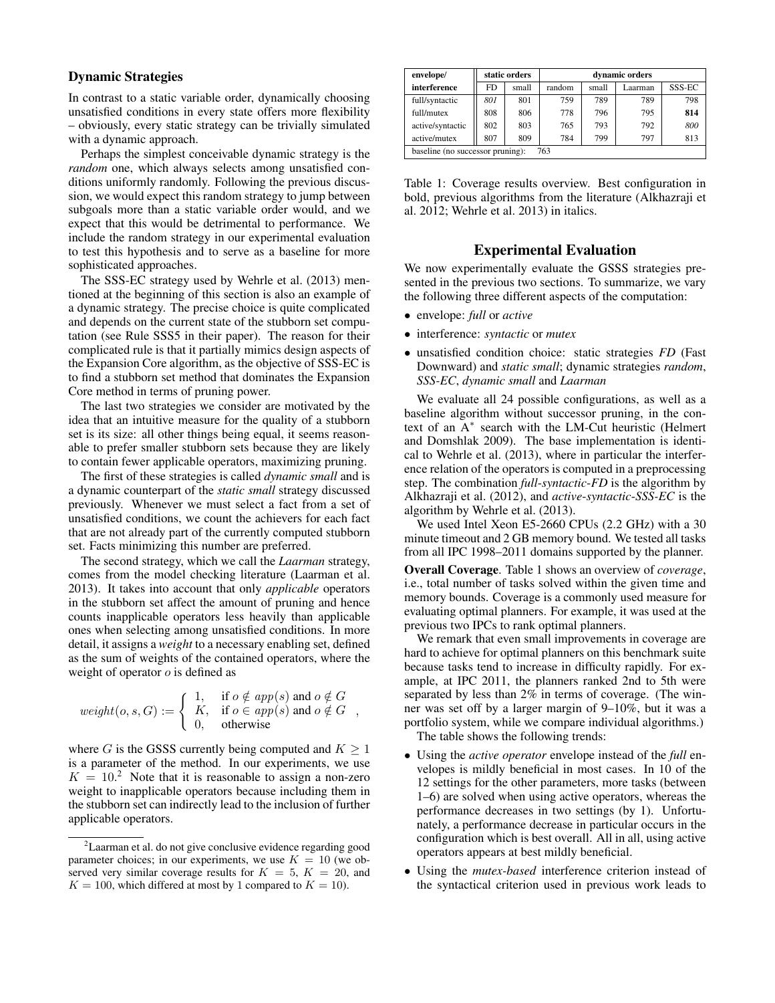## **Dynamic Strategies**

In contrast to a static variable order, dynamically choosing unsatisfied conditions in every state offers more flexibility – obviously, every static strategy can be trivially simulated with a dynamic approach.

Perhaps the simplest conceivable dynamic strategy is the *random* one, which always selects among unsatisfied conditions uniformly randomly. Following the previous discussion, we would expect this random strategy to jump between subgoals more than a static variable order would, and we expect that this would be detrimental to performance. We include the random strategy in our experimental evaluation to test this hypothesis and to serve as a baseline for more sophisticated approaches.

The SSS-EC strategy used by Wehrle et al. (2013) mentioned at the beginning of this section is also an example of a dynamic strategy. The precise choice is quite complicated and depends on the current state of the stubborn set computation (see Rule SSS5 in their paper). The reason for their complicated rule is that it partially mimics design aspects of the Expansion Core algorithm, as the objective of SSS-EC is to find a stubborn set method that dominates the Expansion Core method in terms of pruning power.

The last two strategies we consider are motivated by the idea that an intuitive measure for the quality of a stubborn set is its size: all other things being equal, it seems reasonable to prefer smaller stubborn sets because they are likely to contain fewer applicable operators, maximizing pruning.

The first of these strategies is called *dynamic small* and is a dynamic counterpart of the *static small* strategy discussed previously. Whenever we must select a fact from a set of unsatisfied conditions, we count the achievers for each fact that are not already part of the currently computed stubborn set. Facts minimizing this number are preferred.

The second strategy, which we call the *Laarman* strategy, comes from the model checking literature (Laarman et al. 2013). It takes into account that only *applicable* operators in the stubborn set affect the amount of pruning and hence counts inapplicable operators less heavily than applicable ones when selecting among unsatisfied conditions. In more detail, it assigns a *weight* to a necessary enabling set, defined as the sum of weights of the contained operators, where the weight of operator  $o$  is defined as

$$
weight(o, s, G) := \begin{cases} 1, & \text{if } o \notin app(s) \text{ and } o \notin G \\ K, & \text{if } o \in app(s) \text{ and } o \notin G \\ 0, & \text{otherwise} \end{cases}
$$

,

where G is the GSSS currently being computed and  $K \geq 1$ is a parameter of the method. In our experiments, we use  $K = 10<sup>2</sup>$  Note that it is reasonable to assign a non-zero weight to inapplicable operators because including them in the stubborn set can indirectly lead to the inclusion of further applicable operators.

| envelope/                               |     | static orders | dynamic orders |       |         |        |  |
|-----------------------------------------|-----|---------------|----------------|-------|---------|--------|--|
| interference                            | FD  | small         | random         | small | Laarman | SSS-EC |  |
| full/syntactic                          | 801 | 801           | 759            | 789   | 789     | 798    |  |
| full/mutex                              | 808 | 806           | 778            | 796   | 795     | 814    |  |
| active/syntactic                        | 802 | 803           | 765            | 793   | 792     | 800    |  |
| active/mutex                            | 807 | 809           | 784            | 799   | 797     | 813    |  |
| 763<br>baseline (no successor pruning): |     |               |                |       |         |        |  |

Table 1: Coverage results overview. Best configuration in bold, previous algorithms from the literature (Alkhazraji et al. 2012; Wehrle et al. 2013) in italics.

## **Experimental Evaluation**

We now experimentally evaluate the GSSS strategies presented in the previous two sections. To summarize, we vary the following three different aspects of the computation:

- envelope: *full* or *active*
- interference: *syntactic* or *mutex*
- unsatisfied condition choice: static strategies *FD* (Fast Downward) and *static small*; dynamic strategies *random*, *SSS-EC*, *dynamic small* and *Laarman*

We evaluate all 24 possible configurations, as well as a baseline algorithm without successor pruning, in the context of an A<sup>∗</sup> search with the LM-Cut heuristic (Helmert and Domshlak 2009). The base implementation is identical to Wehrle et al. (2013), where in particular the interference relation of the operators is computed in a preprocessing step. The combination *full*-*syntactic*-*FD* is the algorithm by Alkhazraji et al. (2012), and *active*-*syntactic*-*SSS-EC* is the algorithm by Wehrle et al. (2013).

We used Intel Xeon E5-2660 CPUs (2.2 GHz) with a 30 minute timeout and 2 GB memory bound. We tested all tasks from all IPC 1998–2011 domains supported by the planner.

**Overall Coverage**. Table 1 shows an overview of *coverage*, i.e., total number of tasks solved within the given time and memory bounds. Coverage is a commonly used measure for evaluating optimal planners. For example, it was used at the previous two IPCs to rank optimal planners.

We remark that even small improvements in coverage are hard to achieve for optimal planners on this benchmark suite because tasks tend to increase in difficulty rapidly. For example, at IPC 2011, the planners ranked 2nd to 5th were separated by less than 2% in terms of coverage. (The winner was set off by a larger margin of 9–10%, but it was a portfolio system, while we compare individual algorithms.) The table shows the following trends:

- Using the *active operator* envelope instead of the *full* envelopes is mildly beneficial in most cases. In 10 of the 12 settings for the other parameters, more tasks (between 1–6) are solved when using active operators, whereas the performance decreases in two settings (by 1). Unfortunately, a performance decrease in particular occurs in the configuration which is best overall. All in all, using active operators appears at best mildly beneficial.
- Using the *mutex-based* interference criterion instead of the syntactical criterion used in previous work leads to

<sup>2</sup>Laarman et al. do not give conclusive evidence regarding good parameter choices; in our experiments, we use  $K = 10$  (we observed very similar coverage results for  $K = 5$ ,  $K = 20$ , and  $K = 100$ , which differed at most by 1 compared to  $K = 10$ ).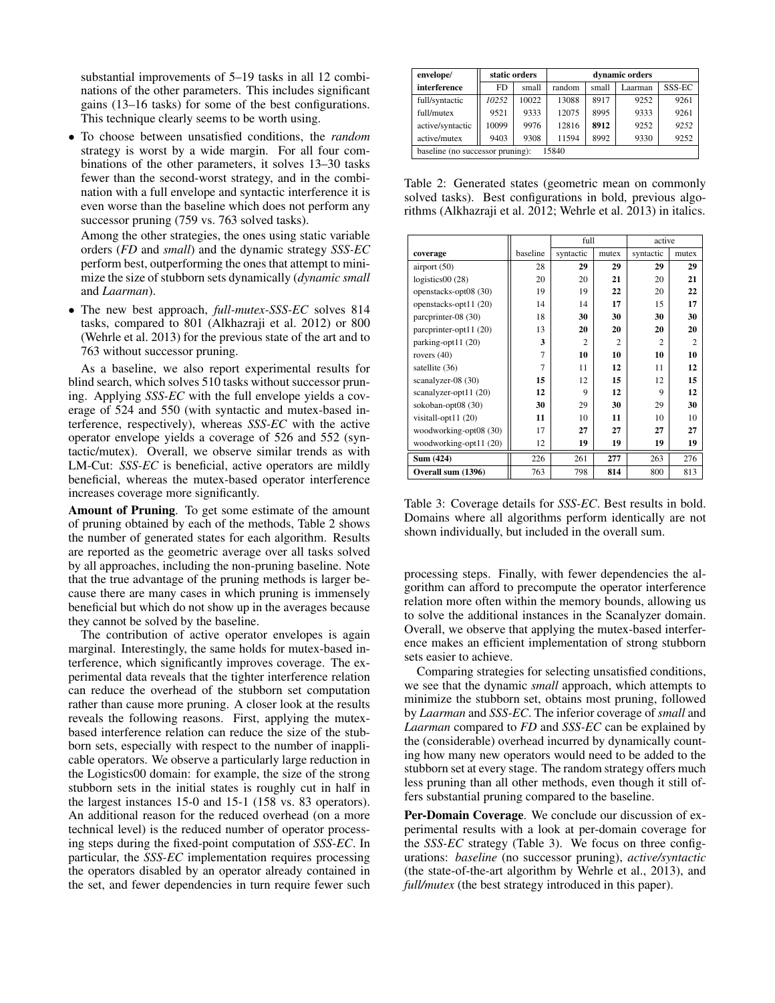substantial improvements of 5–19 tasks in all 12 combinations of the other parameters. This includes significant gains (13–16 tasks) for some of the best configurations. This technique clearly seems to be worth using.

• To choose between unsatisfied conditions, the *random* strategy is worst by a wide margin. For all four combinations of the other parameters, it solves 13–30 tasks fewer than the second-worst strategy, and in the combination with a full envelope and syntactic interference it is even worse than the baseline which does not perform any successor pruning (759 vs. 763 solved tasks).

Among the other strategies, the ones using static variable orders (*FD* and *small*) and the dynamic strategy *SSS-EC* perform best, outperforming the ones that attempt to minimize the size of stubborn sets dynamically (*dynamic small* and *Laarman*).

• The new best approach, *full-mutex-SSS-EC* solves 814 tasks, compared to 801 (Alkhazraji et al. 2012) or 800 (Wehrle et al. 2013) for the previous state of the art and to 763 without successor pruning.

As a baseline, we also report experimental results for blind search, which solves 510 tasks without successor pruning. Applying *SSS-EC* with the full envelope yields a coverage of 524 and 550 (with syntactic and mutex-based interference, respectively), whereas *SSS-EC* with the active operator envelope yields a coverage of 526 and 552 (syntactic/mutex). Overall, we observe similar trends as with LM-Cut: *SSS-EC* is beneficial, active operators are mildly beneficial, whereas the mutex-based operator interference increases coverage more significantly.

**Amount of Pruning**. To get some estimate of the amount of pruning obtained by each of the methods, Table 2 shows the number of generated states for each algorithm. Results are reported as the geometric average over all tasks solved by all approaches, including the non-pruning baseline. Note that the true advantage of the pruning methods is larger because there are many cases in which pruning is immensely beneficial but which do not show up in the averages because they cannot be solved by the baseline.

The contribution of active operator envelopes is again marginal. Interestingly, the same holds for mutex-based interference, which significantly improves coverage. The experimental data reveals that the tighter interference relation can reduce the overhead of the stubborn set computation rather than cause more pruning. A closer look at the results reveals the following reasons. First, applying the mutexbased interference relation can reduce the size of the stubborn sets, especially with respect to the number of inapplicable operators. We observe a particularly large reduction in the Logistics00 domain: for example, the size of the strong stubborn sets in the initial states is roughly cut in half in the largest instances 15-0 and 15-1 (158 vs. 83 operators). An additional reason for the reduced overhead (on a more technical level) is the reduced number of operator processing steps during the fixed-point computation of *SSS-EC*. In particular, the *SSS-EC* implementation requires processing the operators disabled by an operator already contained in the set, and fewer dependencies in turn require fewer such

| envelope/                                 | static orders |       | dynamic orders |       |        |        |  |
|-------------------------------------------|---------------|-------|----------------|-------|--------|--------|--|
| interference                              | FD.           | small | random         | small | aarman | SSS-EC |  |
| full/syntactic                            | 10252         | 10022 | 13088          | 8917  | 9252   | 9261   |  |
| full/mutex                                | 9521          | 9333  | 12075          | 8995  | 9333   | 9261   |  |
| active/syntactic                          | 10099         | 9976  | 12816          | 8912  | 9252   | 9252   |  |
| active/mutex                              | 9403          | 9308  | 11594          | 8992  | 9330   | 9252   |  |
| 15840<br>baseline (no successor pruning): |               |       |                |       |        |        |  |

Table 2: Generated states (geometric mean on commonly solved tasks). Best configurations in bold, previous algorithms (Alkhazraji et al. 2012; Wehrle et al. 2013) in italics.

|                        |                | full           |                | active         |                |
|------------------------|----------------|----------------|----------------|----------------|----------------|
| coverage               | baseline       | syntactic      | mutex          | syntactic      | mutex          |
| airport $(50)$         | 28             | 29             | 29             | 29             | 29             |
| logistics00(28)        | 20             | 20             | 21             | 20             | 21             |
| openstacks-opt08 (30)  | 19             | 19             | 22             | 20             | 22             |
| openstacks-opt11 (20)  | 14             | 14             | 17             | 15             | 17             |
| parcprinter-08 (30)    | 18             | 30             | 30             | 30             | 30             |
| parcprinter-opt11 (20) | 13             | 20             | 20             | 20             | 20             |
| parking-opt11 (20)     | 3              | $\overline{c}$ | $\overline{c}$ | $\overline{c}$ | $\overline{c}$ |
| rovers $(40)$          | $\overline{7}$ | 10             | 10             | 10             | 10             |
| satellite (36)         | $\overline{7}$ | 11             | 12             | 11             | 12             |
| scanalyzer-08 (30)     | 15             | 12             | 15             | 12             | 15             |
| scanalyzer-opt11 (20)  | 12             | 9              | 12             | 9              | 12             |
| sokoban-opt08 (30)     | 30             | 29             | 30             | 29             | 30             |
| visitall-opt11 (20)    | 11             | 10             | 11             | 10             | 10             |
| woodworking-opt08 (30) | 17             | 27             | 27             | 27             | 27             |
| woodworking-opt11 (20) | 12             | 19             | 19             | 19             | 19             |
| Sum (424)              | 226            | 261            | 277            | 263            | 276            |
| Overall sum (1396)     | 763            | 798            | 814            | 800            | 813            |

Table 3: Coverage details for *SSS-EC*. Best results in bold. Domains where all algorithms perform identically are not shown individually, but included in the overall sum.

processing steps. Finally, with fewer dependencies the algorithm can afford to precompute the operator interference relation more often within the memory bounds, allowing us to solve the additional instances in the Scanalyzer domain. Overall, we observe that applying the mutex-based interference makes an efficient implementation of strong stubborn sets easier to achieve.

Comparing strategies for selecting unsatisfied conditions, we see that the dynamic *small* approach, which attempts to minimize the stubborn set, obtains most pruning, followed by *Laarman* and *SSS-EC*. The inferior coverage of *small* and *Laarman* compared to *FD* and *SSS-EC* can be explained by the (considerable) overhead incurred by dynamically counting how many new operators would need to be added to the stubborn set at every stage. The random strategy offers much less pruning than all other methods, even though it still offers substantial pruning compared to the baseline.

**Per-Domain Coverage**. We conclude our discussion of experimental results with a look at per-domain coverage for the *SSS-EC* strategy (Table 3). We focus on three configurations: *baseline* (no successor pruning), *active/syntactic* (the state-of-the-art algorithm by Wehrle et al., 2013), and *full/mutex* (the best strategy introduced in this paper).